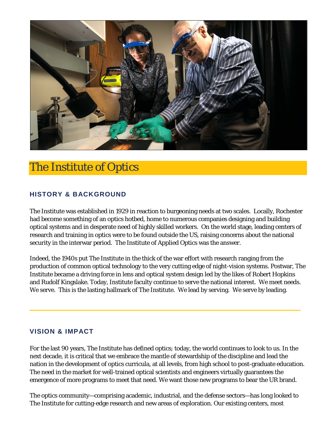

# The Institute of Optics

# **HISTORY & BACKGROUND**

The Institute was established in 1929 in reaction to burgeoning needs at two scales. Locally, Rochester had become something of an optics hotbed, home to numerous companies designing and building optical systems and in desperate need of highly skilled workers. On the world stage, leading centers of research and training in optics were to be found outside the US, raising concerns about the national security in the interwar period. The Institute of Applied Optics was the answer.

Indeed, the 1940s put The Institute in the thick of the war effort with research ranging from the production of common optical technology to the very cutting edge of night-vision systems. Postwar, The Institute became a driving force in lens and optical system design led by the likes of Robert Hopkins and Rudolf Kingslake. Today, Institute faculty continue to serve the national interest. We meet needs. We serve. This is the lasting hallmark of The Institute. We lead by serving. We serve by leading.

## **VISION & IMPACT**

For the last 90 years, The Institute has defined optics; today, the world continues to look to us. In the next decade, it is critical that we embrace the mantle of stewardship of the discipline and lead the nation in the development of optics curricula, at all levels, from high school to post-graduate education. The need in the market for well-trained optical scientists and engineers virtually guarantees the emergence of more programs to meet that need. We want those new programs to bear the UR brand.

The optics community—comprising academic, industrial, and the defense sectors—has long looked to The Institute for cutting-edge research and new areas of exploration. Our existing centers, most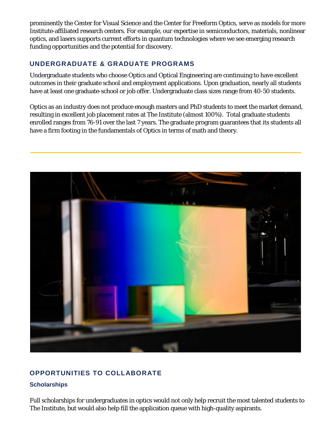prominently the Center for Visual Science and the Center for Freeform Optics, serve as models for more Institute-affiliated research centers. For example, our expertise in semiconductors, materials, nonlinear optics, and lasers supports current efforts in quantum technologies where we see emerging research funding opportunities and the potential for discovery.

# **UNDERGRADUATE & GRADUATE PROGRAMS**

Undergraduate students who choose Optics and Optical Engineering are continuing to have excellent outcomes in their graduate school and employment applications. Upon graduation, nearly all students have at least one graduate-school or job offer. Undergraduate class sizes range from 40-50 students.

Optics as an industry does not produce enough masters and PhD students to meet the market demand, resulting in excellent job placement rates at The Institute (almost 100%). Total graduate students enrolled ranges from 76-91 over the last 7 years. The graduate program guarantees that its students all have a firm footing in the fundamentals of Optics in terms of math and theory.



# **OPPORTUNITIES TO COLLABORATE**

## **Scholarships**

Full scholarships for undergraduates in optics would not only help recruit the most talented students to The Institute, but would also help fill the application queue with high-quality aspirants.